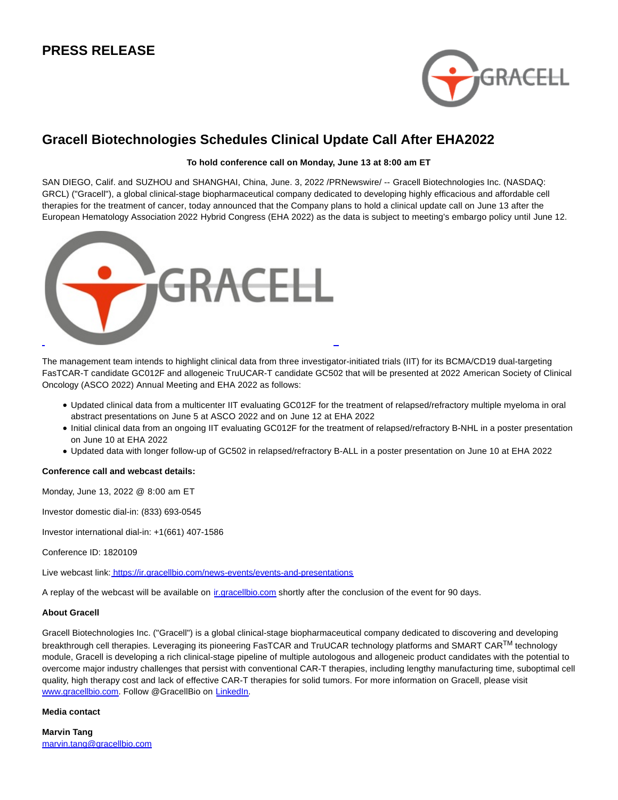## **PRESS RELEASE**



# **Gracell Biotechnologies Schedules Clinical Update Call After EHA2022**

## **To hold conference call on Monday, June 13 at 8:00 am ET**

SAN DIEGO, Calif. and SUZHOU and SHANGHAI, China, June. 3, 2022 /PRNewswire/ -- Gracell Biotechnologies Inc. (NASDAQ: GRCL) ("Gracell"), a global clinical-stage biopharmaceutical company dedicated to developing highly efficacious and affordable cell therapies for the treatment of cancer, today announced that the Company plans to hold a clinical update call on June 13 after the European Hematology Association 2022 Hybrid Congress (EHA 2022) as the data is subject to meeting's embargo policy until June 12.



The management team intends to highlight clinical data from three investigator-initiated trials (IIT) for its BCMA/CD19 dual-targeting FasTCAR-T candidate GC012F and allogeneic TruUCAR-T candidate GC502 that will be presented at 2022 American Society of Clinical Oncology (ASCO 2022) Annual Meeting and EHA 2022 as follows:

- Updated clinical data from a multicenter IIT evaluating GC012F for the treatment of relapsed/refractory multiple myeloma in oral abstract presentations on June 5 at ASCO 2022 and on June 12 at EHA 2022
- Initial clinical data from an ongoing IIT evaluating GC012F for the treatment of relapsed/refractory B-NHL in a poster presentation on June 10 at EHA 2022
- Updated data with longer follow-up of GC502 in relapsed/refractory B-ALL in a poster presentation on June 10 at EHA 2022

#### **Conference call and webcast details:**

Monday, June 13, 2022 @ 8:00 am ET

Investor domestic dial-in: (833) 693-0545

Investor international dial-in: +1(661) 407-1586

Conference ID: 1820109

Live webcast link[: https://ir.gracellbio.com/news-events/events-and-presentations](https://www.globenewswire.com/Tracker?data=HU0bC2MRHJwUQmG00Gsu2hc1c4WEHnfJ8gRzUk8eaC-0tTlGTGVx4oETurEDfvnu2mfsqZ68Y2da30sJGGPGhopU5sym51-2pln8RzaK3Z21KJsePmVTD628T2LpHhkiKlst6HYHNezV844tlLv-MIhRjJMYMb_i8FVMASsdSk9_OeXWup-q8NWGP-KT0h9gx2QQu2-7FQeWv8ki6W9RZw==)

A replay of the webcast will be available on [ir.gracellbio.com s](https://www.globenewswire.com/Tracker?data=n0WvhlUNv5aEFUbhzjL43PUgiXNtqleAHCjg8keJA8aFSecLWyNhTtWwHJAuMBBxheB5XBNOL3Dw8saODmp7Acmbl_hlU0uHI1SbjabKZnM=)hortly after the conclusion of the event for 90 days.

#### **About Gracell**

Gracell Biotechnologies Inc. ("Gracell") is a global clinical-stage biopharmaceutical company dedicated to discovering and developing breakthrough cell therapies. Leveraging its pioneering FasTCAR and TruUCAR technology platforms and SMART CAR™ technology module, Gracell is developing a rich clinical-stage pipeline of multiple autologous and allogeneic product candidates with the potential to overcome major industry challenges that persist with conventional CAR-T therapies, including lengthy manufacturing time, suboptimal cell quality, high therapy cost and lack of effective CAR-T therapies for solid tumors. For more information on Gracell, please visit [www.gracellbio.com.](http://www.gracellbio.com/) Follow @GracellBio on [LinkedIn.](https://www.linkedin.com/company/gracellbio)

## **Media contact**

**Marvin Tang** [marvin.tang@gracellbio.com](https://www.globenewswire.com/Tracker?data=Zt3OfHhEAhr40g0sYwUi4kKVlUY--304QjX-3XiCgDF1gKLHKXw2H8qlFd0MNb41Y_beTCd7fztegWgxRcBDTphSqMWzirLE7HlK2zqX0yf20-4ii8MchcF15Bmut9MV)